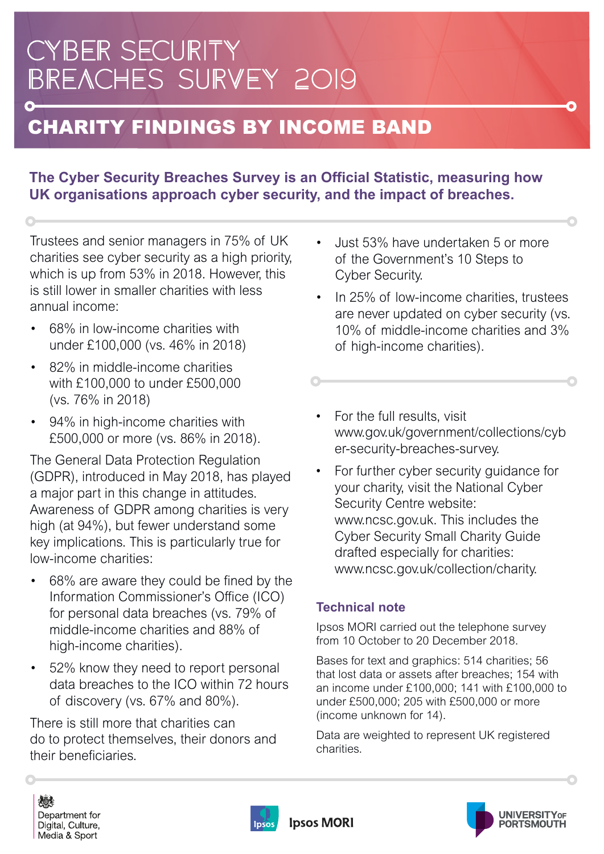## **CYBER SECURITY** BREACHES SURVEY 2019

### CHARITY FINDINGS BY INCOME BAND

#### **The Cyber Security Breaches Survey is an Official Statistic, measuring how UK organisations approach cyber security, and the impact of breaches.**

Trustees and senior managers in 75% of UK charities see cyber security as a high priority, which is up from 53% in 2018. However, this is still lower in smaller charities with less annual income:

- 68% in low-income charities with under £100,000 (vs. 46% in 2018)
- 82% in middle-income charities with £100,000 to under £500,000 (vs. 76% in 2018)
- 94% in high-income charities with £500,000 or more (vs. 86% in 2018).

The General Data Protection Regulation (GDPR), introduced in May 2018, has played a major part in this change in attitudes. Awareness of GDPR among charities is very high (at 94%), but fewer understand some key implications. This is particularly true for low-income charities:

- 68% are aware they could be fined by the Information Commissioner's Office (ICO) for personal data breaches (vs. 79% of middle-income charities and 88% of high-income charities).
- 52% know they need to report personal data breaches to the ICO within 72 hours of discovery (vs. 67% and 80%).

There is still more that charities can do to protect themselves, their donors and their beneficiaries.

• Just 53% have undertaken 5 or more of the Government's 10 Steps to Cyber Security.

Ω

- In 25% of low-income charities, trustees are never updated on cyber security (vs. 10% of middle-income charities and 3% of high-income charities).
- For the full results, visit [www.gov.uk/government/collections/cyb](https://www.gov.uk/government/collections/cyber-security-breaches-survey)  er-security-breaches-survey.
- For further cyber security guidance for your charity, visit the National Cyber Security Centre website: [www.ncsc.gov.uk.](https://www.ncsc.gov.uk/) This includes the Cyber Security Small Charity Guide drafted especially for charities: [www.ncsc.gov.uk/collection/charity.](https://www.ncsc.gov.uk/collection/charity)

#### **Technical note**

Ipsos MORI carried out the telephone survey from 10 October to 20 December 2018.

Bases for text and graphics: 514 charities; 56 that lost data or assets after breaches; 154 with an income under £100,000; 141 with £100,000 to under £500,000; 205 with £500,000 or more (income unknown for 14).

Data are weighted to represent UK registered charities.

燃 Department for Digital, Culture, Media & Sport